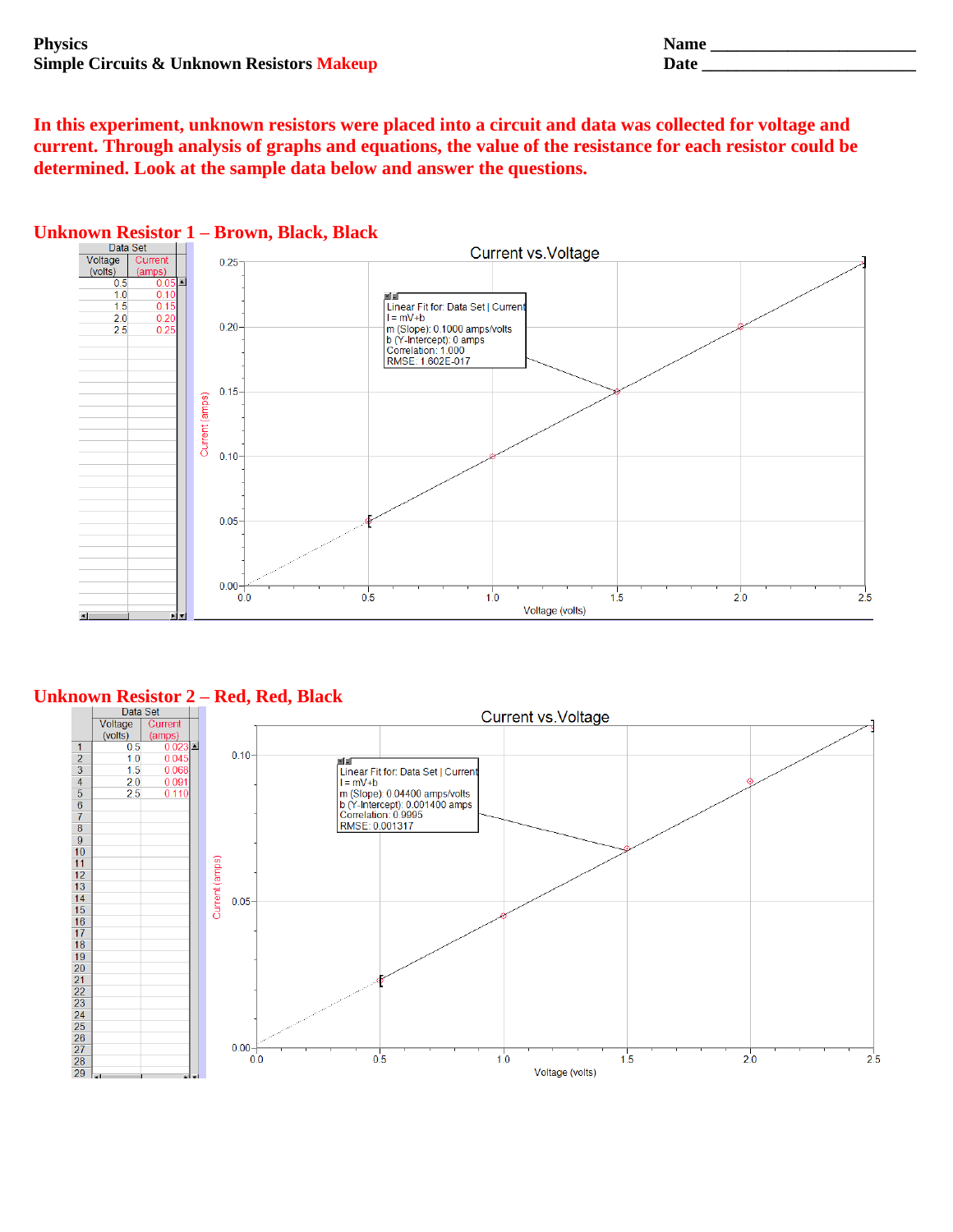| <b>Physics</b>                                        | <b>Name</b> |
|-------------------------------------------------------|-------------|
| <b>Simple Circuits &amp; Unknown Resistors Makeup</b> | Date        |
|                                                       |             |

**In this experiment, unknown resistors were placed into a circuit and data was collected for voltage and current. Through analysis of graphs and equations, the value of the resistance for each resistor could be determined. Look at the sample data below and answer the questions.** 



## **Unknown Resistor 2 – Red, Red, Black**

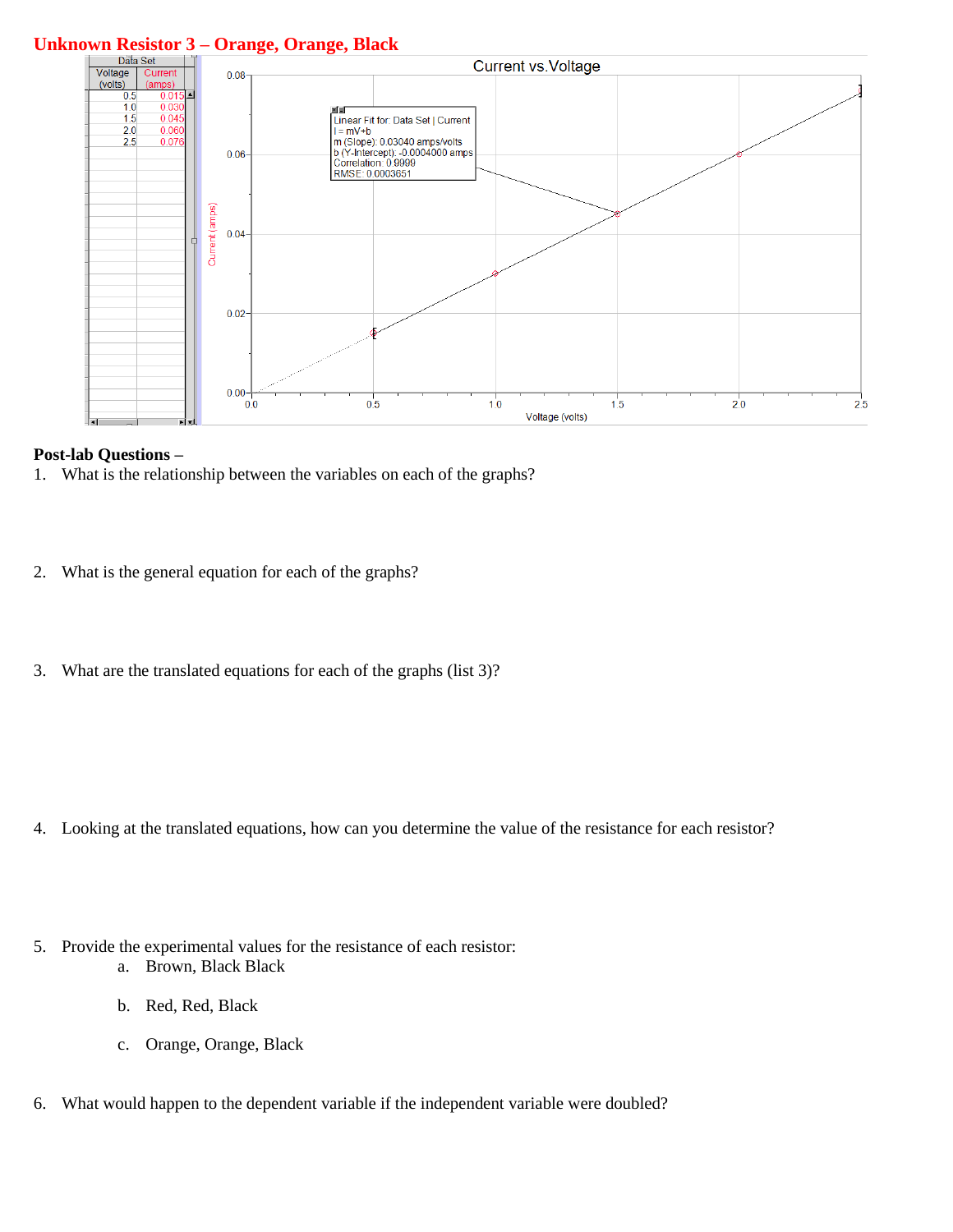# **Unknown Resistor 3 – Orange, Orange, Black**



#### **Post-lab Questions –**

- 1. What is the relationship between the variables on each of the graphs?
- 2. What is the general equation for each of the graphs?
- 3. What are the translated equations for each of the graphs (list 3)?

- 4. Looking at the translated equations, how can you determine the value of the resistance for each resistor?
- 5. Provide the experimental values for the resistance of each resistor: a. Brown, Black Black
	- b. Red, Red, Black
	- c. Orange, Orange, Black
- 6. What would happen to the dependent variable if the independent variable were doubled?